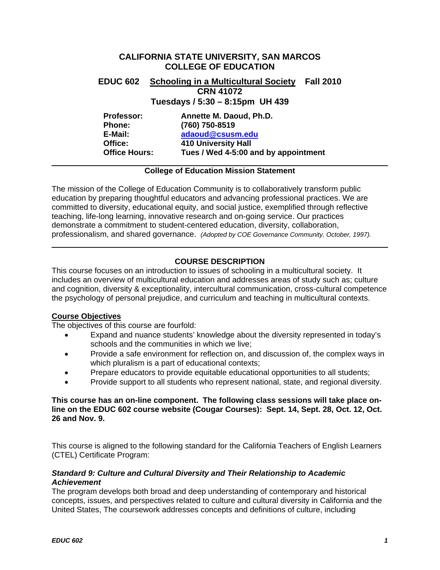# **CALIFORNIA STATE UNIVERSITY, SAN MARCOS COLLEGE OF EDUCATION EDUC 602 Schooling in a Multicultural Society Fall 2010 CRN 41072 Tuesdays / 5:30 – 8:15pm UH 439 Professor: Annette M. Daoud, Ph.D. Phone: (760) 750-8519 E-Mail: [adaoud@csusm.edu](mailto:adaoud@csusm.edu) Office: 410 University Hall**

**Office Hours: Tues / Wed 4-5:00 and by appointment** 

## **College of Education Mission Statement**

The mission of the College of Education Community is to collaboratively transform public education by preparing thoughtful educators and advancing professional practices. We are committed to diversity, educational equity, and social justice, exemplified through reflective teaching, life-long learning, innovative research and on-going service. Our practices demonstrate a commitment to student-centered education, diversity, collaboration, professionalism, and shared governance. *(Adopted by COE Governance Community, October, 1997).* 

## **COURSE DESCRIPTION**

This course focuses on an introduction to issues of schooling in a multicultural society. It includes an overview of multicultural education and addresses areas of study such as; culture and cognition, diversity & exceptionality, intercultural communication, cross-cultural competence the psychology of personal prejudice, and curriculum and teaching in multicultural contexts.

## **Course Objectives**

The objectives of this course are fourfold:

- Expand and nuance students' knowledge about the diversity represented in today's schools and the communities in which we live;
- Provide a safe environment for reflection on, and discussion of, the complex ways in which pluralism is a part of educational contexts;
- Prepare educators to provide equitable educational opportunities to all students;
- Provide support to all students who represent national, state, and regional diversity.

## **This course has an on-line component. The following class sessions will take place online on the EDUC 602 course website (Cougar Courses): Sept. 14, Sept. 28, Oct. 12, Oct. 26 and Nov. 9.**

This course is aligned to the following standard for the California Teachers of English Learners (CTEL) Certificate Program:

## *Standard 9: Culture and Cultural Diversity and Their Relationship to Academic Achievement*

The program develops both broad and deep understanding of contemporary and historical concepts, issues, and perspectives related to culture and cultural diversity in California and the United States, The coursework addresses concepts and definitions of culture, including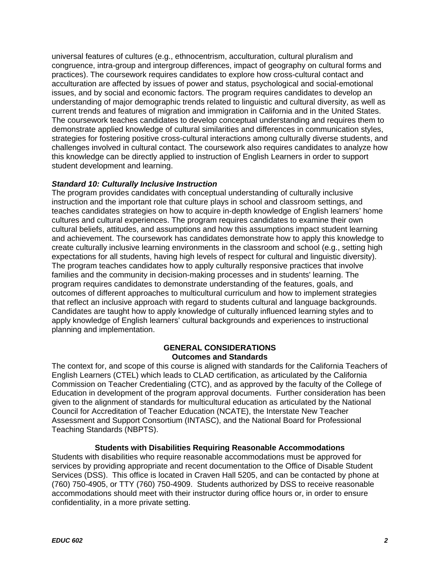universal features of cultures (e.g., ethnocentrism, acculturation, cultural pluralism and congruence, intra-group and intergroup differences, impact of geography on cultural forms and practices). The coursework requires candidates to explore how cross-cultural contact and acculturation are affected by issues of power and status, psychological and social-emotional issues, and by social and economic factors. The program requires candidates to develop an understanding of major demographic trends related to linguistic and cultural diversity, as well as current trends and features of migration and immigration in California and in the United States. The coursework teaches candidates to develop conceptual understanding and requires them to demonstrate applied knowledge of cultural similarities and differences in communication styles, strategies for fostering positive cross-cultural interactions among culturally diverse students, and challenges involved in cultural contact. The coursework also requires candidates to analyze how this knowledge can be directly applied to instruction of English Learners in order to support student development and learning.

## *Standard 10: Culturally Inclusive Instruction*

The program provides candidates with conceptual understanding of culturally inclusive instruction and the important role that culture plays in school and classroom settings, and teaches candidates strategies on how to acquire in-depth knowledge of English learners' home cultures and cultural experiences. The program requires candidates to examine their own cultural beliefs, attitudes, and assumptions and how this assumptions impact student learning and achievement. The coursework has candidates demonstrate how to apply this knowledge to create culturally inclusive learning environments in the classroom and school (e.g., setting high expectations for all students, having high levels of respect for cultural and linguistic diversity). The program teaches candidates how to apply culturally responsive practices that involve families and the community in decision-making processes and in students' learning. The program requires candidates to demonstrate understanding of the features, goals, and outcomes of different approaches to multicultural curriculum and how to implement strategies that reflect an inclusive approach with regard to students cultural and language backgrounds. Candidates are taught how to apply knowledge of culturally influenced learning styles and to apply knowledge of English learners' cultural backgrounds and experiences to instructional planning and implementation.

## **GENERAL CONSIDERATIONS Outcomes and Standards**

The context for, and scope of this course is aligned with standards for the California Teachers of English Learners (CTEL) which leads to CLAD certification, as articulated by the California Commission on Teacher Credentialing (CTC), and as approved by the faculty of the College of Education in development of the program approval documents. Further consideration has been given to the alignment of standards for multicultural education as articulated by the National Council for Accreditation of Teacher Education (NCATE), the Interstate New Teacher Assessment and Support Consortium (INTASC), and the National Board for Professional Teaching Standards (NBPTS).

## **Students with Disabilities Requiring Reasonable Accommodations**

Students with disabilities who require reasonable accommodations must be approved for services by providing appropriate and recent documentation to the Office of Disable Student Services (DSS). This office is located in Craven Hall 5205, and can be contacted by phone at (760) 750-4905, or TTY (760) 750-4909. Students authorized by DSS to receive reasonable accommodations should meet with their instructor during office hours or, in order to ensure confidentiality, in a more private setting.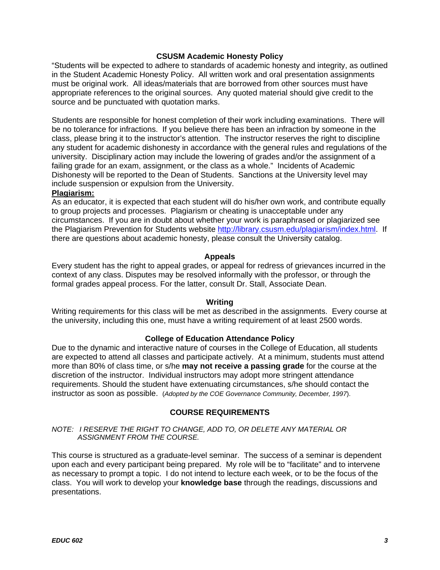## **CSUSM Academic Honesty Policy**

"Students will be expected to adhere to standards of academic honesty and integrity, as outlined in the Student Academic Honesty Policy. All written work and oral presentation assignments must be original work. All ideas/materials that are borrowed from other sources must have appropriate references to the original sources. Any quoted material should give credit to the source and be punctuated with quotation marks.

Students are responsible for honest completion of their work including examinations. There will be no tolerance for infractions. If you believe there has been an infraction by someone in the class, please bring it to the instructor's attention. The instructor reserves the right to discipline any student for academic dishonesty in accordance with the general rules and regulations of the university. Disciplinary action may include the lowering of grades and/or the assignment of a failing grade for an exam, assignment, or the class as a whole." Incidents of Academic Dishonesty will be reported to the Dean of Students. Sanctions at the University level may include suspension or expulsion from the University.

## **Plagiarism:**

As an educator, it is expected that each student will do his/her own work, and contribute equally to group projects and processes. Plagiarism or cheating is unacceptable under any circumstances. If you are in doubt about whether your work is paraphrased or plagiarized see the Plagiarism Prevention for Students website<http://library.csusm.edu/plagiarism/index.html>. If there are questions about academic honesty, please consult the University catalog.

## **Appeals**

Every student has the right to appeal grades, or appeal for redress of grievances incurred in the context of any class. Disputes may be resolved informally with the professor, or through the formal grades appeal process. For the latter, consult Dr. Stall, Associate Dean.

#### **Writing**

Writing requirements for this class will be met as described in the assignments. Every course at the university, including this one, must have a writing requirement of at least 2500 words.

## **College of Education Attendance Policy**

Due to the dynamic and interactive nature of courses in the College of Education, all students are expected to attend all classes and participate actively. At a minimum, students must attend more than 80% of class time, or s/he **may not receive a passing grade** for the course at the discretion of the instructor. Individual instructors may adopt more stringent attendance requirements. Should the student have extenuating circumstances, s/he should contact the instructor as soon as possible. (*Adopted by the COE Governance Community, December, 1997*).

## **COURSE REQUIREMENTS**

#### *NOTE: I RESERVE THE RIGHT TO CHANGE, ADD TO, OR DELETE ANY MATERIAL OR ASSIGNMENT FROM THE COURSE.*

This course is structured as a graduate-level seminar. The success of a seminar is dependent upon each and every participant being prepared. My role will be to "facilitate" and to intervene as necessary to prompt a topic. I do not intend to lecture each week, or to be the focus of the class. You will work to develop your **knowledge base** through the readings, discussions and presentations.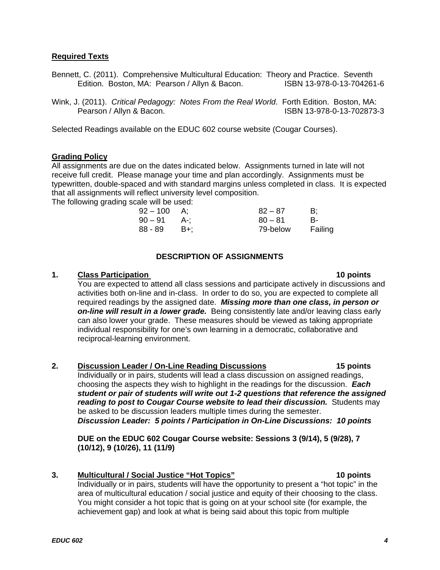## **Required Texts**

- Bennett, C. (2011). Comprehensive Multicultural Education: Theory and Practice. Seventh<br>Edition. Boston. MA: Pearson / Allyn & Bacon. [ISBN 13-978-0-13-704261-6 Edition. Boston, MA: Pearson / Allyn & Bacon.
- Wink, J. (2011). *Critical Pedagogy: Notes From the Real World*. Forth Edition. Boston, MA: Pearson / Allyn & Bacon. **ISBN 13-978-0-13-702873-3**

Selected Readings available on the EDUC 602 course website (Cougar Courses).

## **Grading Policy**

All assignments are due on the dates indicated below. Assignments turned in late will not receive full credit. Please manage your time and plan accordingly. Assignments must be typewritten, double-spaced and with standard margins unless completed in class. It is expected that all assignments will reflect university level composition.

The following grading scale will be used:

| $92-100$ | A:    | $82 - 87$ | B:      |
|----------|-------|-----------|---------|
| $90-91$  | - A-: | $80 - 81$ | В-      |
| 88 - 89  | - B+: | 79-below  | Failing |

## **DESCRIPTION OF ASSIGNMENTS**

## **1. Class Participation** 10 **points**

You are expected to attend all class sessions and participate actively in discussions and activities both on-line and in-class. In order to do so, you are expected to complete all required readings by the assigned date. *Missing more than one class, in person or on-line will result in a lower grade.* Being consistently late and/or leaving class early can also lower your grade. These measures should be viewed as taking appropriate individual responsibility for one's own learning in a democratic, collaborative and reciprocal-learning environment.

## **2. Discussion Leader / On-Line Reading Discussions 15 points**

Individually or in pairs, students will lead a class discussion on assigned readings, choosing the aspects they wish to highlight in the readings for the discussion. *Each student or pair of students will write out 1-2 questions that reference the assigned reading to post to Cougar Course website to lead their discussion.* Students may be asked to be discussion leaders multiple times during the semester. *Discussion Leader: 5 points / Participation in On-Line Discussions: 10 points* 

## **DUE on the EDUC 602 Cougar Course website: Sessions 3 (9/14), 5 (9/28), 7 (10/12), 9 (10/26), 11 (11/9)**

## **3. Multicultural / Social Justice "Hot Topics" 10 points**

Individually or in pairs, students will have the opportunity to present a "hot topic" in the area of multicultural education / social justice and equity of their choosing to the class. You might consider a hot topic that is going on at your school site (for example, the achievement gap) and look at what is being said about this topic from multiple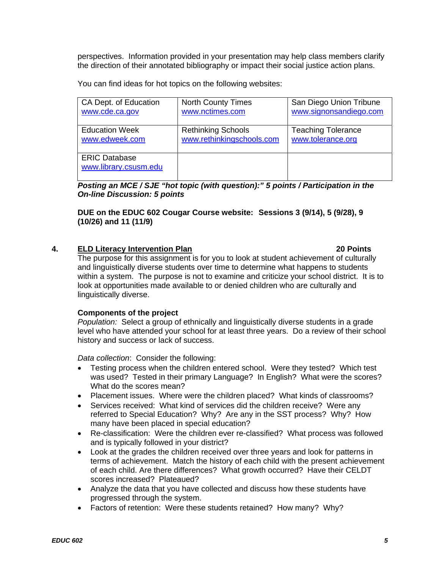perspectives. Information provided in your presentation may help class members clarify the direction of their annotated bibliography or impact their social justice action plans.

You can find ideas for hot topics on the following websites:

| CA Dept. of Education                         | <b>North County Times</b> | San Diego Union Tribune   |
|-----------------------------------------------|---------------------------|---------------------------|
| www.cde.ca.gov                                | www.nctimes.com           | www.signonsandiego.com    |
| <b>Education Week</b>                         | <b>Rethinking Schools</b> | <b>Teaching Tolerance</b> |
| www.edweek.com                                | www.rethinkingschools.com | www.tolerance.org         |
| <b>ERIC Database</b><br>www.library.csusm.edu |                           |                           |

*Posting an MCE / SJE "hot topic (with question):" 5 points / Participation in the On-line Discussion: 5 points* 

**DUE on the EDUC 602 Cougar Course website: Sessions 3 (9/14), 5 (9/28), 9 (10/26) and 11 (11/9)** 

## **4. ELD Literacy Intervention Plan 20 Points**

The purpose for this assignment is for you to look at student achievement of culturally and linguistically diverse students over time to determine what happens to students within a system. The purpose is not to examine and criticize your school district. It is to look at opportunities made available to or denied children who are culturally and linguistically diverse.

## **Components of the project**

*Population:* Select a group of ethnically and linguistically diverse students in a grade level who have attended your school for at least three years. Do a review of their school history and success or lack of success.

*Data collection*: Consider the following:

- Testing process when the children entered school. Were they tested? Which test was used? Tested in their primary Language? In English? What were the scores? What do the scores mean?
- Placement issues. Where were the children placed? What kinds of classrooms?
- Services received: What kind of services did the children receive? Were any referred to Special Education? Why? Are any in the SST process? Why? How many have been placed in special education?
- Re-classification: Were the children ever re-classified? What process was followed and is typically followed in your district?
- Look at the grades the children received over three years and look for patterns in terms of achievement. Match the history of each child with the present achievement of each child. Are there differences? What growth occurred? Have their CELDT scores increased? Plateaued?
- Analyze the data that you have collected and discuss how these students have progressed through the system.
- Factors of retention: Were these students retained? How many? Why?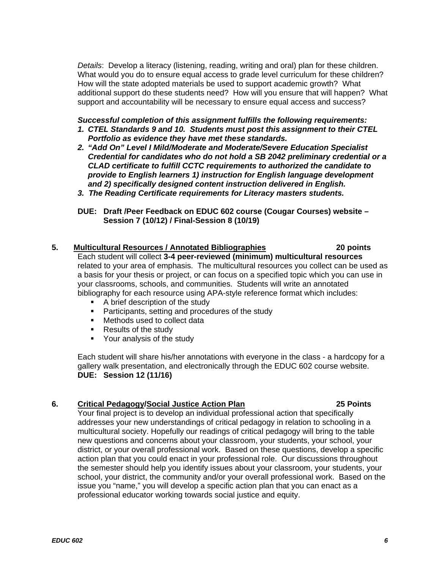*Details*: Develop a literacy (listening, reading, writing and oral) plan for these children. What would you do to ensure equal access to grade level curriculum for these children? How will the state adopted materials be used to support academic growth? What additional support do these students need? How will you ensure that will happen? What support and accountability will be necessary to ensure equal access and success?

#### *Successful completion of this assignment fulfills the following requirements: 1. CTEL Standards 9 and 10. Students must post this assignment to their CTEL Portfolio as evidence they have met these standards.*

- *2. "Add On" Level I Mild/Moderate and Moderate/Severe Education Specialist Credential for candidates who do not hold a SB 2042 preliminary credential or a CLAD certificate to fulfill CCTC requirements to authorized the candidate to provide to English learners 1) instruction for English language development and 2) specifically designed content instruction delivered in English.*
- *3. The Reading Certificate requirements for Literacy masters students.*
- **DUE: Draft /Peer Feedback on EDUC 602 course (Cougar Courses) website Session 7 (10/12) / Final-Session 8 (10/19)**

# **5. Multicultural Resources / Annotated Bibliographies 20 points**

Each student will collect **3-4 peer-reviewed (minimum) multicultural resources** related to your area of emphasis. The multicultural resources you collect can be used as a basis for your thesis or project, or can focus on a specified topic which you can use in your classrooms, schools, and communities. Students will write an annotated bibliography for each resource using APA-style reference format which includes:

- **A brief description of the study**
- **Participants, setting and procedures of the study**
- **Methods used to collect data**
- **Results of the study**
- **•** Your analysis of the study

Each student will share his/her annotations with everyone in the class - a hardcopy for a gallery walk presentation, and electronically through the EDUC 602 course website. **DUE: Session 12 (11/16)**

# **6. Critical Pedagogy/Social Justice Action Plan 25 Points**

Your final project is to develop an individual professional action that specifically addresses your new understandings of critical pedagogy in relation to schooling in a multicultural society. Hopefully our readings of critical pedagogy will bring to the table new questions and concerns about your classroom, your students, your school, your

district, or your overall professional work. Based on these questions, develop a specific action plan that you could enact in your professional role. Our discussions throughout the semester should help you identify issues about your classroom, your students, your school, your district, the community and/or your overall professional work. Based on the issue you "name," you will develop a specific action plan that you can enact as a professional educator working towards social justice and equity.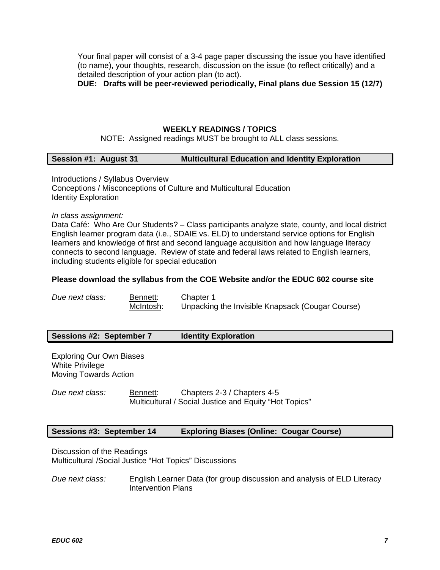Your final paper will consist of a 3-4 page paper discussing the issue you have identified (to name), your thoughts, research, discussion on the issue (to reflect critically) and a detailed description of your action plan (to act).

**DUE: Drafts will be peer-reviewed periodically, Final plans due Session 15 (12/7)** 

#### **WEEKLY READINGS / TOPICS**

NOTE: Assigned readings MUST be brought to ALL class sessions.

## **Session #1: August 31** Multicultural Education and Identity Exploration

Introductions / Syllabus Overview Conceptions / Misconceptions of Culture and Multicultural Education Identity Exploration

*In class assignment:* 

Data Café: Who Are Our Students? – Class participants analyze state, county, and local district English learner program data (i.e., SDAIE vs. ELD) to understand service options for English learners and knowledge of first and second language acquisition and how language literacy connects to second language. Review of state and federal laws related to English learners, including students eligible for special education

#### **Please download the syllabus from the COE Website and/or the EDUC 602 course site**

| Due next class: | Bennett:  | Chapter 1                                        |
|-----------------|-----------|--------------------------------------------------|
|                 | McIntosh: | Unpacking the Invisible Knapsack (Cougar Course) |

## **Sessions #2: September 7 Identity Exploration**

Exploring Our Own Biases White Privilege Moving Towards Action

*Due next class:* Bennett: Chapters 2-3 / Chapters 4-5 Multicultural / Social Justice and Equity "Hot Topics"

## **Sessions #3: September 14 Exploring Biases (Online: Cougar Course)**

Discussion of the Readings Multicultural /Social Justice "Hot Topics" Discussions

*Due next class:* English Learner Data (for group discussion and analysis of ELD Literacy Intervention Plans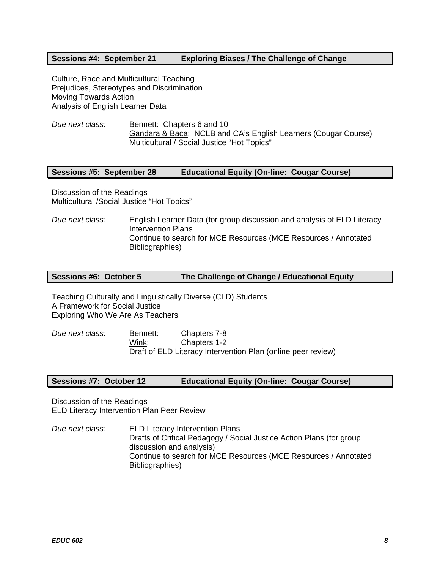## **Sessions #4: September 21 Exploring Biases / The Challenge of Change**

Culture, Race and Multicultural Teaching Prejudices, Stereotypes and Discrimination Moving Towards Action Analysis of English Learner Data

*Due next class:* Bennett: Chapters 6 and 10 Gandara & Baca: NCLB and CA's English Learners (Cougar Course) Multicultural / Social Justice "Hot Topics"

## **Sessions #5: September 28 Educational Equity (On-line: Cougar Course)**

Discussion of the Readings Multicultural /Social Justice "Hot Topics"

*Due next class:* English Learner Data (for group discussion and analysis of ELD Literacy Intervention Plans Continue to search for MCE Resources (MCE Resources / Annotated Bibliographies)

## **Sessions #6: October 5 The Challenge of Change / Educational Equity**

Teaching Culturally and Linguistically Diverse (CLD) Students A Framework for Social Justice Exploring Who We Are As Teachers

*Due next class:* Bennett: Chapters 7-8 Wink: Chapters 1-2 Draft of ELD Literacy Intervention Plan (online peer review)

#### **Sessions #7: October 12 Educational Equity (On-line: Cougar Course)**

Discussion of the Readings ELD Literacy Intervention Plan Peer Review

*Due next class:* ELD Literacy Intervention Plans Drafts of Critical Pedagogy / Social Justice Action Plans (for group discussion and analysis) Continue to search for MCE Resources (MCE Resources / Annotated Bibliographies)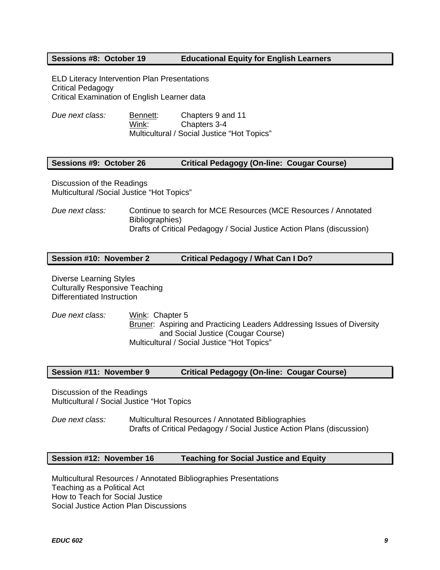## **Sessions #8: October 19 Educational Equity for English Learners**

ELD Literacy Intervention Plan Presentations Critical Pedagogy Critical Examination of English Learner data

*Due next class:* Bennett: Chapters 9 and 11 Wink: Chapters 3-4 Multicultural / Social Justice "Hot Topics"

## **Sessions #9: October 26 Critical Pedagogy (On-line: Cougar Course)**

Discussion of the Readings Multicultural /Social Justice "Hot Topics"

*Due next class:* Continue to search for MCE Resources (MCE Resources / Annotated Bibliographies) Drafts of Critical Pedagogy / Social Justice Action Plans (discussion)

## **Session #10: November 2 Critical Pedagogy / What Can I Do?**

Diverse Learning Styles Culturally Responsive Teaching Differentiated Instruction

*Due next class:* Wink: Chapter 5 Bruner: Aspiring and Practicing Leaders Addressing Issues of Diversity and Social Justice (Cougar Course) Multicultural / Social Justice "Hot Topics"

## **Session #11: November 9 Critical Pedagogy (On-line: Cougar Course)**

Discussion of the Readings Multicultural / Social Justice "Hot Topics

*Due next class:* Multicultural Resources / Annotated Bibliographies Drafts of Critical Pedagogy / Social Justice Action Plans (discussion)

#### **Session #12: November 16 Teaching for Social Justice and Equity**

Multicultural Resources / Annotated Bibliographies Presentations Teaching as a Political Act How to Teach for Social Justice Social Justice Action Plan Discussions